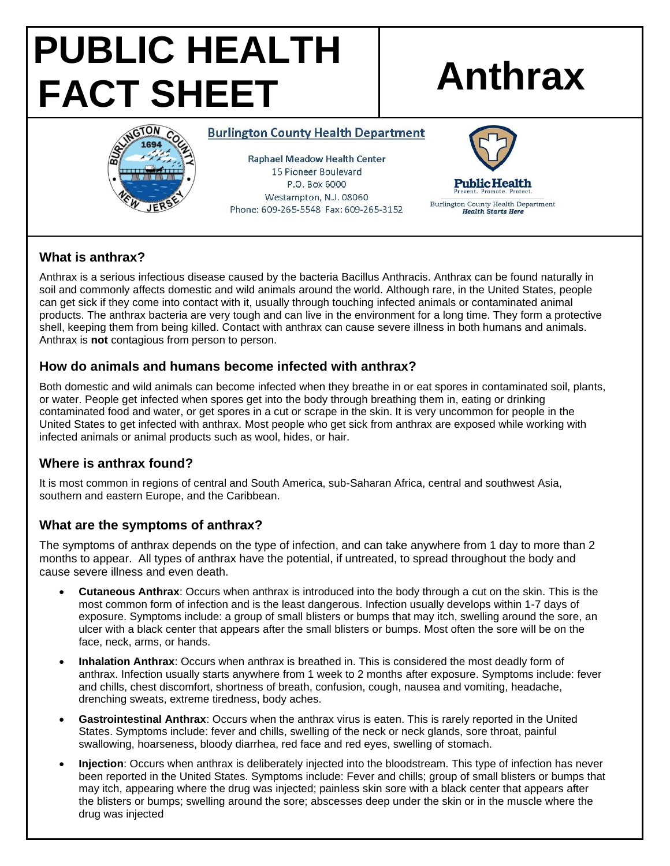# **PUBLIC HEALTH FACT SHEET Anthrax**



### **Burlington County Health Department**

**Raphael Meadow Health Center** 15 Pioneer Boulevard P.O. Box 6000 Westampton, N.J. 08060 Phone: 609-265-5548 Fax: 609-265-3152



# **What is anthrax?**

Anthrax is a serious infectious disease caused by the bacteria Bacillus Anthracis. Anthrax can be found naturally in soil and commonly affects domestic and wild animals around the world. Although rare, in the United States, people can get sick if they come into contact with it, usually through touching infected animals or contaminated animal products. The anthrax bacteria are very tough and can live in the environment for a long time. They form a protective shell, keeping them from being killed. Contact with anthrax can cause severe illness in both humans and animals. Anthrax is **not** contagious from person to person.

## **How do animals and humans become infected with anthrax?**

Both domestic and wild animals can become infected when they breathe in or eat spores in contaminated soil, plants, or water. People get infected when spores get into the body through breathing them in, eating or drinking contaminated food and water, or get spores in a cut or scrape in the skin. It is very uncommon for people in the United States to get infected with anthrax. Most people who get sick from anthrax are exposed while working with infected animals or animal products such as wool, hides, or hair.

# **Where is anthrax found?**

It is most common in regions of central and South America, sub-Saharan Africa, central and southwest Asia, southern and eastern Europe, and the Caribbean.

# **What are the symptoms of anthrax?**

The symptoms of anthrax depends on the type of infection, and can take anywhere from 1 day to more than 2 months to appear. All types of anthrax have the potential, if untreated, to spread throughout the body and cause severe illness and even death.

- **Cutaneous Anthrax**: Occurs when anthrax is introduced into the body through a cut on the skin. This is the most common form of infection and is the least dangerous. Infection usually develops within 1-7 days of exposure. Symptoms include: a group of small blisters or bumps that may itch, swelling around the sore, an ulcer with a black center that appears after the small blisters or bumps. Most often the sore will be on the face, neck, arms, or hands.
- **Inhalation Anthrax**: Occurs when anthrax is breathed in. This is considered the most deadly form of anthrax. Infection usually starts anywhere from 1 week to 2 months after exposure. Symptoms include: fever and chills, chest discomfort, shortness of breath, confusion, cough, nausea and vomiting, headache, drenching sweats, extreme tiredness, body aches.
- **Gastrointestinal Anthrax**: Occurs when the anthrax virus is eaten. This is rarely reported in the United States. Symptoms include: fever and chills, swelling of the neck or neck glands, sore throat, painful swallowing, hoarseness, bloody diarrhea, red face and red eyes, swelling of stomach.
- **Injection**: Occurs when anthrax is deliberately injected into the bloodstream. This type of infection has never been reported in the United States. Symptoms include: Fever and chills; group of small blisters or bumps that may itch, appearing where the drug was injected; painless skin sore with a black center that appears after the blisters or bumps; swelling around the sore; abscesses deep under the skin or in the muscle where the drug was injected